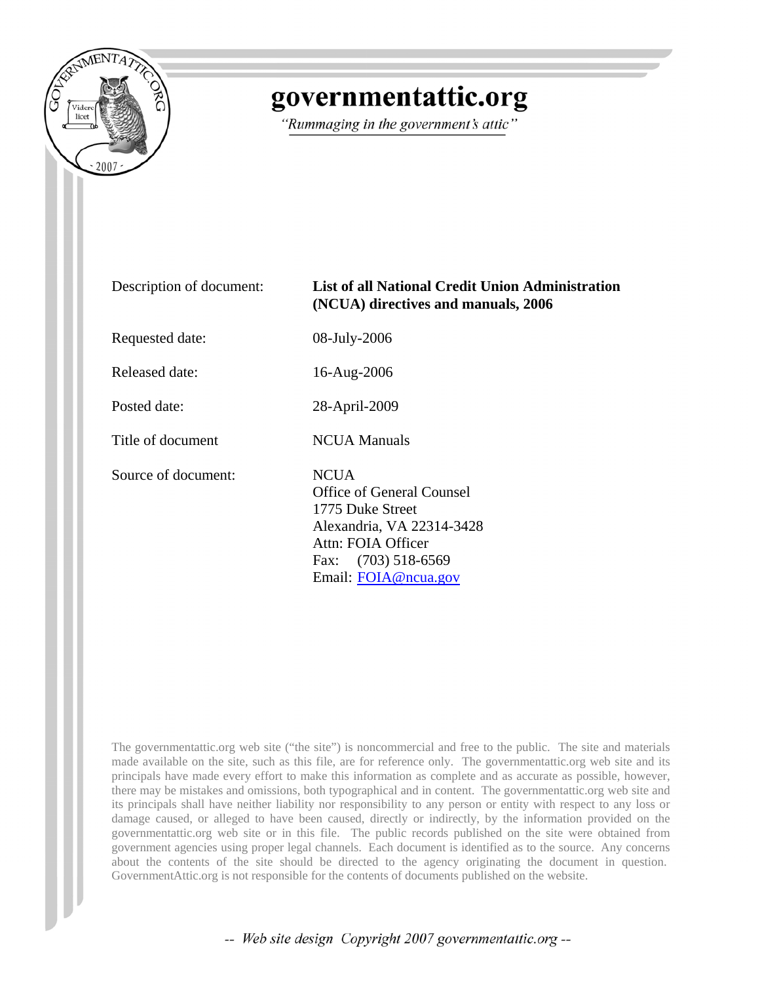

## governmentattic.org

"Rummaging in the government's attic"

List of all National Credit Union Administration

**(NCUA) directives and manuals, 2006**

| Description of document: |  |
|--------------------------|--|
|--------------------------|--|

Requested date: 08-July-2006

Released date: 16-Aug-2006

Posted date: 28-April-2009

Title of document NCUA Manuals

Source of document: NCUA

Office of General Counsel 1775 Duke Street Alexandria, VA 22314-3428 Attn: FOIA Officer Fax: (703) 518-6569 Email: [FOIA@ncua.gov](mailto:FOIA@ncua.gov)

The governmentattic.org web site ("the site") is noncommercial and free to the public. The site and materials made available on the site, such as this file, are for reference only. The governmentattic.org web site and its principals have made every effort to make this information as complete and as accurate as possible, however, there may be mistakes and omissions, both typographical and in content. The governmentattic.org web site and its principals shall have neither liability nor responsibility to any person or entity with respect to any loss or damage caused, or alleged to have been caused, directly or indirectly, by the information provided on the governmentattic.org web site or in this file. The public records published on the site were obtained from government agencies using proper legal channels. Each document is identified as to the source. Any concerns about the contents of the site should be directed to the agency originating the document in question. GovernmentAttic.org is not responsible for the contents of documents published on the website.

-- Web site design Copyright 2007 governmentattic.org --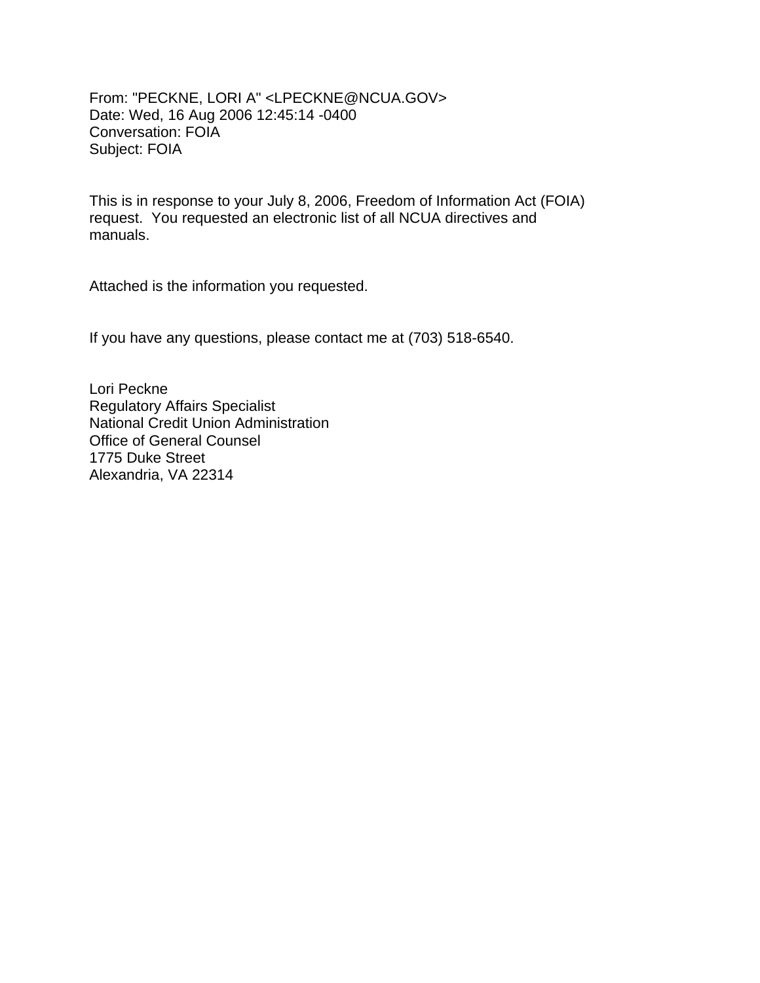From: "PECKNE, LORI A" <LPECKNE@NCUA.GOV> Date: Wed, 16 Aug 2006 12:45:14 -0400 Conversation: FOIA Subject: FOIA

This is in response to your July 8, 2006, Freedom of Information Act (FOIA) request. You requested an electronic list of all NCUA directives and manuals.

Attached is the information you requested.

If you have any questions, please contact me at (703) 518-6540.

Lori Peckne Regulatory Affairs Specialist National Credit Union Administration Office of General Counsel 1775 Duke Street Alexandria, VA 22314